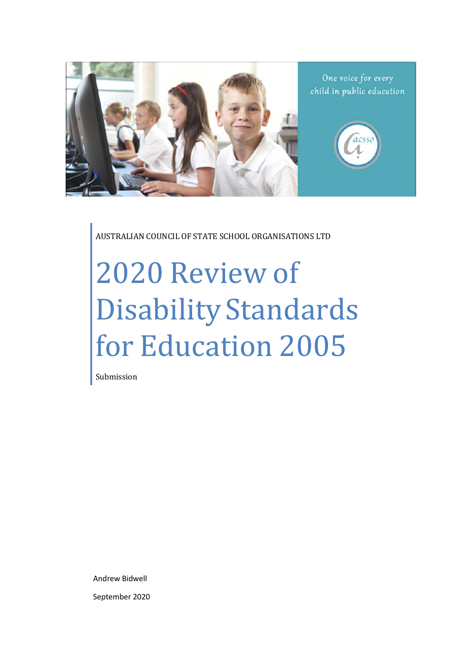

AUSTRALIAN COUNCIL OF STATE SCHOOL ORGANISATIONS LTD

# 2020 Review of Disability Standards for Education 2005

Submission

Andrew Bidwell September 2020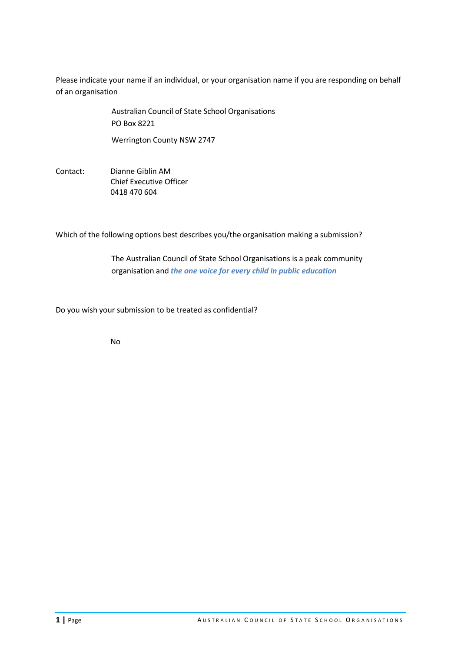Please indicate your name if an individual, or your organisation name if you are responding on behalf of an organisation

> Australian Council of State School Organisations PO Box 8221

Werrington County NSW 2747

Contact: Dianne Giblin AM Chief Executive Officer 0418 470 604

Which of the following options best describes you/the organisation making a submission?

The Australian Council of State School Organisations is a peak community organisation and *the one voice for every child in public education*

Do you wish your submission to be treated as confidential?

No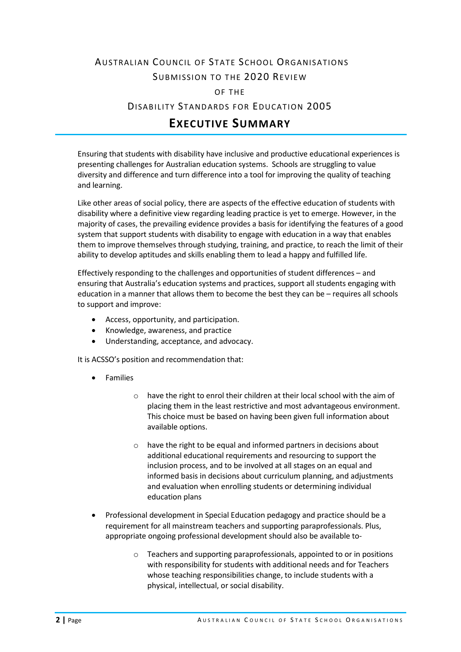# AUSTRALIAN COUNCIL OF STATE SCHOOL ORGANISATIONS SUBMISSION TO THE 2020 REVIEW

OF THE

DISABILITY STANDARDS FOR EDUCATION 2005

# **EXECUTIVE SUMMARY**

Ensuring that students with disability have inclusive and productive educational experiences is presenting challenges for Australian education systems. Schools are struggling to value diversity and difference and turn difference into a tool for improving the quality of teaching and learning.

Like other areas of social policy, there are aspects of the effective education of students with disability where a definitive view regarding leading practice is yet to emerge. However, in the majority of cases, the prevailing evidence provides a basis for identifying the features of a good system that support students with disability to engage with education in a way that enables them to improve themselves through studying, training, and practice, to reach the limit of their ability to develop aptitudes and skills enabling them to lead a happy and fulfilled life.

Effectively responding to the challenges and opportunities of student differences – and ensuring that Australia's education systems and practices, support all students engaging with education in a manner that allows them to become the best they can be – requires all schools to support and improve:

- Access, opportunity, and participation.
- Knowledge, awareness, and practice
- Understanding, acceptance, and advocacy.

It is ACSSO's position and recommendation that:

- Families
	- o have the right to enrol their children at their local school with the aim of placing them in the least restrictive and most advantageous environment. This choice must be based on having been given full information about available options.
	- o have the right to be equal and informed partners in decisions about additional educational requirements and resourcing to support the inclusion process, and to be involved at all stages on an equal and informed basis in decisions about curriculum planning, and adjustments and evaluation when enrolling students or determining individual education plans
- Professional development in Special Education pedagogy and practice should be a requirement for all mainstream teachers and supporting paraprofessionals. Plus, appropriate ongoing professional development should also be available to
	- o Teachers and supporting paraprofessionals, appointed to or in positions with responsibility for students with additional needs and for Teachers whose teaching responsibilities change, to include students with a physical, intellectual, or social disability.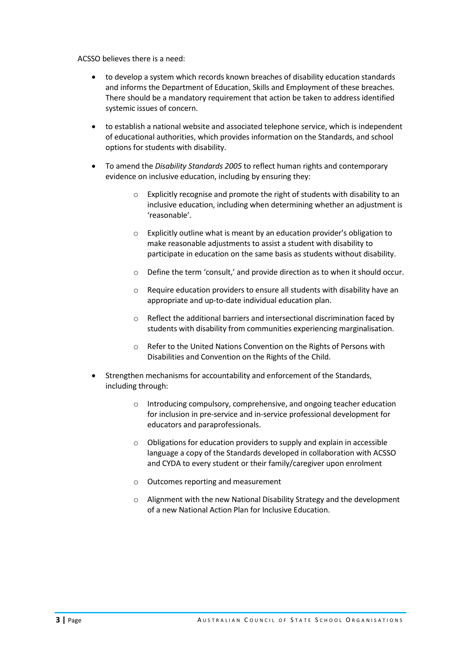ACSSO believes there is a need:

- to develop a system which records known breaches of disability education standards and informs the Department of Education, Skills and Employment of these breaches. There should be a mandatory requirement that action be taken to address identified systemic issues of concern.
- to establish a national website and associated telephone service, which is independent of educational authorities, which provides information on the Standards, and school options for students with disability.
- To amend the *Disability Standards 2005* to reflect human rights and contemporary evidence on inclusive education, including by ensuring they:
	- o Explicitly recognise and promote the right of students with disability to an inclusive education, including when determining whether an adjustment is 'reasonable'.
	- o Explicitly outline what is meant by an education provider's obligation to make reasonable adjustments to assist a student with disability to participate in education on the same basis as students without disability.
	- o Define the term 'consult,' and provide direction as to when it should occur.
	- o Require education providers to ensure all students with disability have an appropriate and up-to-date individual education plan.
	- o Reflect the additional barriers and intersectional discrimination faced by students with disability from communities experiencing marginalisation.
	- o Refer to the United Nations Convention on the Rights of Persons with Disabilities and Convention on the Rights of the Child.
- Strengthen mechanisms for accountability and enforcement of the Standards, including through:
	- o Introducing compulsory, comprehensive, and ongoing teacher education for inclusion in pre-service and in-service professional development for educators and paraprofessionals.
	- o Obligations for education providers to supply and explain in accessible language a copy of the Standards developed in collaboration with ACSSO and CYDA to every student or their family/caregiver upon enrolment
	- o Outcomes reporting and measurement
	- $\circ$  Alignment with the new National Disability Strategy and the development of a new National Action Plan for Inclusive Education.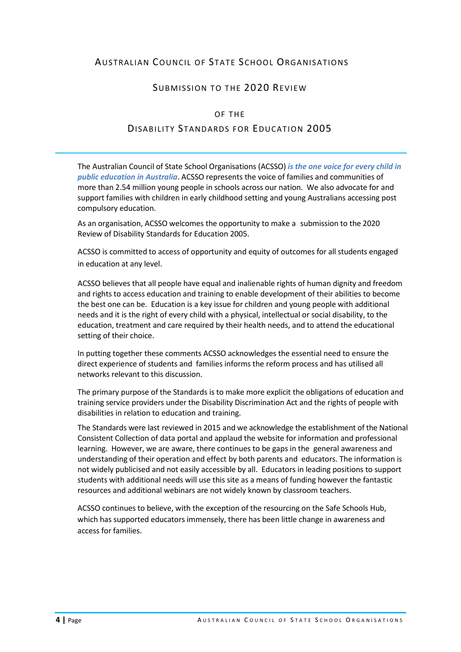# AUSTRALIAN COUNCIL OF STATE SCHOOL ORGANISATIONS

# SUBMISSION TO THE 2020 REVIEW

#### OF THE

#### DISABILITY STANDARDS FOR EDUCATION 2005

The Australian Council of State School Organisations (ACSSO) *is the one voice for every child in public education in Australia*. ACSSO represents the voice of families and communities of more than 2.54 million young people in schools across our nation. We also advocate for and support families with children in early childhood setting and young Australians accessing post compulsory education.

As an organisation, ACSSO welcomes the opportunity to make a submission to the 2020 Review of Disability Standards for Education 2005.

ACSSO is committed to access of opportunity and equity of outcomes for all students engaged in education at any level.

ACSSO believes that all people have equal and inalienable rights of human dignity and freedom and rights to access education and training to enable development of their abilities to become the best one can be. Education is a key issue for children and young people with additional needs and it is the right of every child with a physical, intellectual or social disability, to the education, treatment and care required by their health needs, and to attend the educational setting of their choice.

In putting together these comments ACSSO acknowledges the essential need to ensure the direct experience of students and families informs the reform process and has utilised all networks relevant to this discussion.

The primary purpose of the Standards is to make more explicit the obligations of education and training service providers under the Disability Discrimination Act and the rights of people with disabilities in relation to education and training.

The Standards were last reviewed in 2015 and we acknowledge the establishment of the National Consistent Collection of data portal and applaud the website for information and professional learning. However, we are aware, there continues to be gaps in the general awareness and understanding of their operation and effect by both parents and educators. The information is not widely publicised and not easily accessible by all. Educators in leading positions to support students with additional needs will use this site as a means of funding however the fantastic resources and additional webinars are not widely known by classroom teachers.

ACSSO continues to believe, with the exception of the resourcing on the Safe Schools Hub, which has supported educators immensely, there has been little change in awareness and access for families.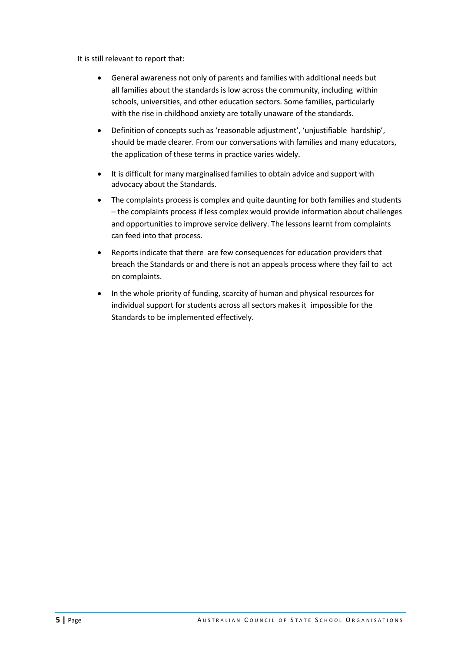It is still relevant to report that:

- General awareness not only of parents and families with additional needs but all families about the standards is low across the community, including within schools, universities, and other education sectors. Some families, particularly with the rise in childhood anxiety are totally unaware of the standards.
- Definition of concepts such as 'reasonable adjustment', 'unjustifiable hardship', should be made clearer. From our conversations with families and many educators, the application of these terms in practice varies widely.
- It is difficult for many marginalised families to obtain advice and support with advocacy about the Standards.
- The complaints process is complex and quite daunting for both families and students – the complaints process if less complex would provide information about challenges and opportunities to improve service delivery. The lessons learnt from complaints can feed into that process.
- Reports indicate that there are few consequences for education providers that breach the Standards or and there is not an appeals process where they fail to act on complaints.
- In the whole priority of funding, scarcity of human and physical resources for individual support for students across all sectors makes it impossible for the Standards to be implemented effectively.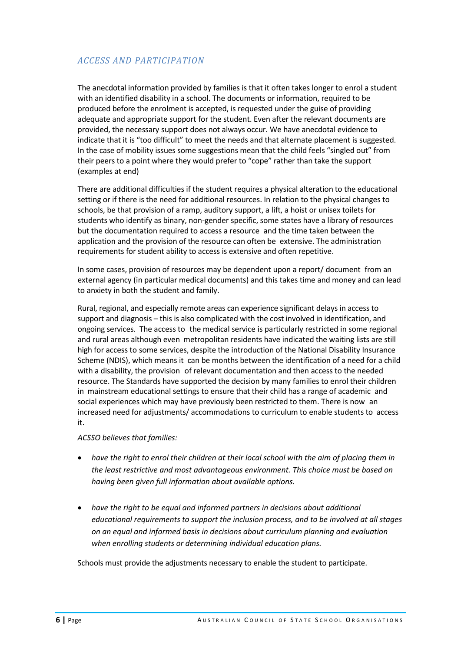# *ACCESS AND PARTICIPATION*

The anecdotal information provided by families is that it often takes longer to enrol a student with an identified disability in a school. The documents or information, required to be produced before the enrolment is accepted, is requested under the guise of providing adequate and appropriate support for the student. Even after the relevant documents are provided, the necessary support does not always occur. We have anecdotal evidence to indicate that it is "too difficult" to meet the needs and that alternate placement is suggested. In the case of mobility issues some suggestions mean that the child feels "singled out" from their peers to a point where they would prefer to "cope" rather than take the support (examples at end)

There are additional difficulties if the student requires a physical alteration to the educational setting or if there is the need for additional resources. In relation to the physical changes to schools, be that provision of a ramp, auditory support, a lift, a hoist or unisex toilets for students who identify as binary, non-gender specific, some states have a library of resources but the documentation required to access a resource and the time taken between the application and the provision of the resource can often be extensive. The administration requirements for student ability to access is extensive and often repetitive.

In some cases, provision of resources may be dependent upon a report/ document from an external agency (in particular medical documents) and this takes time and money and can lead to anxiety in both the student and family.

Rural, regional, and especially remote areas can experience significant delays in access to support and diagnosis – this is also complicated with the cost involved in identification, and ongoing services. The access to the medical service is particularly restricted in some regional and rural areas although even metropolitan residents have indicated the waiting lists are still high for access to some services, despite the introduction of the National Disability Insurance Scheme (NDIS), which means it can be months between the identification of a need for a child with a disability, the provision of relevant documentation and then access to the needed resource. The Standards have supported the decision by many families to enrol their children in mainstream educational settings to ensure that their child has a range of academic and social experiences which may have previously been restricted to them. There is now an increased need for adjustments/ accommodations to curriculum to enable students to access it.

*ACSSO believes that families:*

- *have the right to enrol their children at their local school with the aim of placing them in the least restrictive and most advantageous environment. This choice must be based on having been given full information about available options.*
- *have the right to be equal and informed partners in decisions about additional educational requirements to support the inclusion process, and to be involved at all stages on an equal and informed basis in decisions about curriculum planning and evaluation when enrolling students or determining individual education plans.*

Schools must provide the adjustments necessary to enable the student to participate.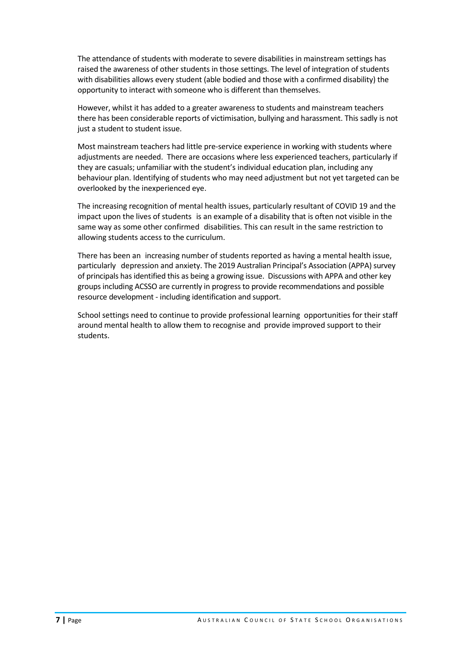The attendance of students with moderate to severe disabilities in mainstream settings has raised the awareness of other students in those settings. The level of integration of students with disabilities allows every student (able bodied and those with a confirmed disability) the opportunity to interact with someone who is different than themselves.

However, whilst it has added to a greater awareness to students and mainstream teachers there has been considerable reports of victimisation, bullying and harassment. This sadly is not just a student to student issue.

Most mainstream teachers had little pre-service experience in working with students where adjustments are needed. There are occasions where less experienced teachers, particularly if they are casuals; unfamiliar with the student's individual education plan, including any behaviour plan. Identifying of students who may need adjustment but not yet targeted can be overlooked by the inexperienced eye.

The increasing recognition of mental health issues, particularly resultant of COVID 19 and the impact upon the lives of students is an example of a disability that is often not visible in the same way as some other confirmed disabilities. This can result in the same restriction to allowing students access to the curriculum.

There has been an increasing number of students reported as having a mental health issue, particularly depression and anxiety. The 2019 Australian Principal's Association (APPA) survey of principals has identified this as being a growing issue. Discussions with APPA and other key groups including ACSSO are currently in progress to provide recommendations and possible resource development - including identification and support.

School settings need to continue to provide professional learning opportunities for their staff around mental health to allow them to recognise and provide improved support to their students.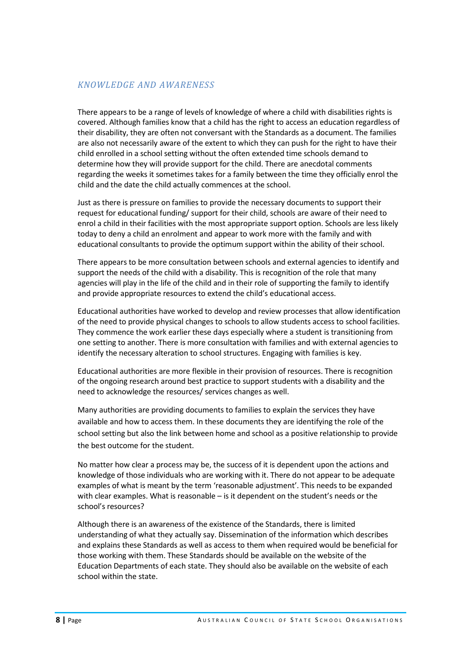#### *KNOWLEDGE AND AWARENESS*

There appears to be a range of levels of knowledge of where a child with disabilities rights is covered. Although families know that a child has the right to access an education regardless of their disability, they are often not conversant with the Standards as a document. The families are also not necessarily aware of the extent to which they can push for the right to have their child enrolled in a school setting without the often extended time schools demand to determine how they will provide support for the child. There are anecdotal comments regarding the weeks it sometimes takes for a family between the time they officially enrol the child and the date the child actually commences at the school.

Just as there is pressure on families to provide the necessary documents to support their request for educational funding/ support for their child, schools are aware of their need to enrol a child in their facilities with the most appropriate support option. Schools are less likely today to deny a child an enrolment and appear to work more with the family and with educational consultants to provide the optimum support within the ability of their school.

There appears to be more consultation between schools and external agencies to identify and support the needs of the child with a disability. This is recognition of the role that many agencies will play in the life of the child and in their role of supporting the family to identify and provide appropriate resources to extend the child's educational access.

Educational authorities have worked to develop and review processes that allow identification of the need to provide physical changes to schools to allow students access to school facilities. They commence the work earlier these days especially where a student is transitioning from one setting to another. There is more consultation with families and with external agencies to identify the necessary alteration to school structures. Engaging with families is key.

Educational authorities are more flexible in their provision of resources. There is recognition of the ongoing research around best practice to support students with a disability and the need to acknowledge the resources/ services changes as well.

Many authorities are providing documents to families to explain the services they have available and how to access them. In these documents they are identifying the role of the school setting but also the link between home and school as a positive relationship to provide the best outcome for the student.

No matter how clear a process may be, the success of it is dependent upon the actions and knowledge of those individuals who are working with it. There do not appear to be adequate examples of what is meant by the term 'reasonable adjustment'. This needs to be expanded with clear examples. What is reasonable – is it dependent on the student's needs or the school's resources?

Although there is an awareness of the existence of the Standards, there is limited understanding of what they actually say. Dissemination of the information which describes and explains these Standards as well as access to them when required would be beneficial for those working with them. These Standards should be available on the website of the Education Departments of each state. They should also be available on the website of each school within the state.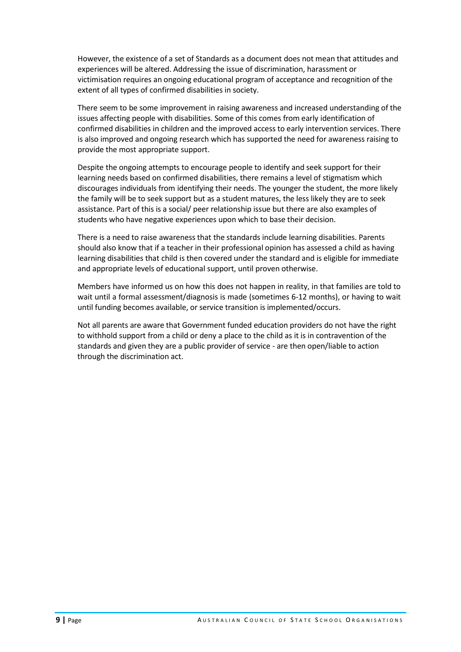However, the existence of a set of Standards as a document does not mean that attitudes and experiences will be altered. Addressing the issue of discrimination, harassment or victimisation requires an ongoing educational program of acceptance and recognition of the extent of all types of confirmed disabilities in society.

There seem to be some improvement in raising awareness and increased understanding of the issues affecting people with disabilities. Some of this comes from early identification of confirmed disabilities in children and the improved access to early intervention services. There is also improved and ongoing research which has supported the need for awareness raising to provide the most appropriate support.

Despite the ongoing attempts to encourage people to identify and seek support for their learning needs based on confirmed disabilities, there remains a level of stigmatism which discourages individuals from identifying their needs. The younger the student, the more likely the family will be to seek support but as a student matures, the less likely they are to seek assistance. Part of this is a social/ peer relationship issue but there are also examples of students who have negative experiences upon which to base their decision.

There is a need to raise awareness that the standards include learning disabilities. Parents should also know that if a teacher in their professional opinion has assessed a child as having learning disabilities that child is then covered under the standard and is eligible for immediate and appropriate levels of educational support, until proven otherwise.

Members have informed us on how this does not happen in reality, in that families are told to wait until a formal assessment/diagnosis is made (sometimes 6-12 months), or having to wait until funding becomes available, or service transition is implemented/occurs.

Not all parents are aware that Government funded education providers do not have the right to withhold support from a child or deny a place to the child as it is in contravention of the standards and given they are a public provider of service - are then open/liable to action through the discrimination act.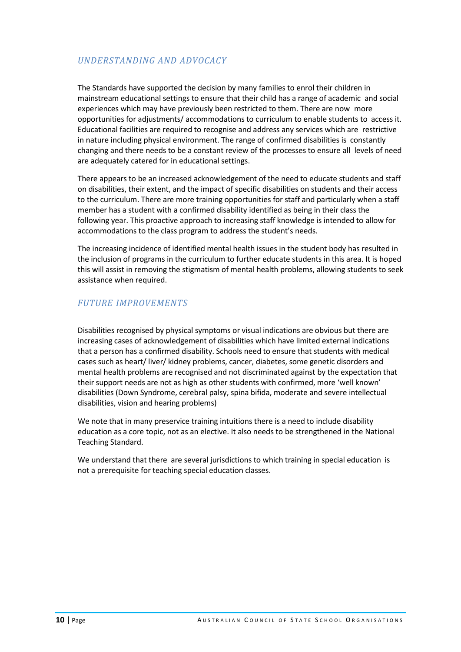# *UNDERSTANDING AND ADVOCACY*

The Standards have supported the decision by many families to enrol their children in mainstream educational settings to ensure that their child has a range of academic and social experiences which may have previously been restricted to them. There are now more opportunities for adjustments/ accommodations to curriculum to enable students to access it. Educational facilities are required to recognise and address any services which are restrictive in nature including physical environment. The range of confirmed disabilities is constantly changing and there needs to be a constant review of the processes to ensure all levels of need are adequately catered for in educational settings.

There appears to be an increased acknowledgement of the need to educate students and staff on disabilities, their extent, and the impact of specific disabilities on students and their access to the curriculum. There are more training opportunities for staff and particularly when a staff member has a student with a confirmed disability identified as being in their class the following year. This proactive approach to increasing staff knowledge is intended to allow for accommodations to the class program to address the student's needs.

The increasing incidence of identified mental health issues in the student body has resulted in the inclusion of programs in the curriculum to further educate students in this area. It is hoped this will assist in removing the stigmatism of mental health problems, allowing students to seek assistance when required.

### *FUTURE IMPROVEMENTS*

Disabilities recognised by physical symptoms or visual indications are obvious but there are increasing cases of acknowledgement of disabilities which have limited external indications that a person has a confirmed disability. Schools need to ensure that students with medical cases such as heart/ liver/ kidney problems, cancer, diabetes, some genetic disorders and mental health problems are recognised and not discriminated against by the expectation that their support needs are not as high as other students with confirmed, more 'well known' disabilities (Down Syndrome, cerebral palsy, spina bifida, moderate and severe intellectual disabilities, vision and hearing problems)

We note that in many preservice training intuitions there is a need to include disability education as a core topic, not as an elective. It also needs to be strengthened in the National Teaching Standard.

We understand that there are several jurisdictions to which training in special education is not a prerequisite for teaching special education classes.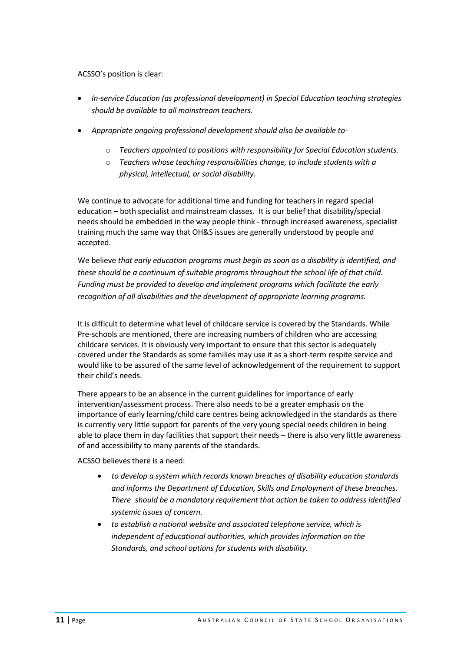ACSSO's position is clear:

- *In-service Education (as professional development) in Special Education teaching strategies should be available to all mainstream teachers.*
- *Appropriate ongoing professional development should also be available to*
	- o *Teachers appointed to positions with responsibility for Special Education students.*
	- o *Teachers whose teaching responsibilities change, to include students with a physical, intellectual, or social disability.*

We continue to advocate for additional time and funding for teachers in regard special education – both specialist and mainstream classes. It is our belief that disability/special needs should be embedded in the way people think - through increased awareness, specialist training much the same way that OH&S issues are generally understood by people and accepted.

We believe *that early education programs must begin as soon as a disability is identified, and these should be a continuum of suitable programs throughout the school life of that child. Funding must be provided to develop and implement programs which facilitate the early recognition of all disabilities and the development of appropriate learning programs.*

It is difficult to determine what level of childcare service is covered by the Standards. While Pre-schools are mentioned, there are increasing numbers of children who are accessing childcare services. It is obviously very important to ensure that this sector is adequately covered under the Standards as some families may use it as a short-term respite service and would like to be assured of the same level of acknowledgement of the requirement to support their child's needs.

There appears to be an absence in the current guidelines for importance of early intervention/assessment process. There also needs to be a greater emphasis on the importance of early learning/child care centres being acknowledged in the standards as there is currently very little support for parents of the very young special needs children in being able to place them in day facilities that support their needs – there is also very little awareness of and accessibility to many parents of the standards.

ACSSO believes there is a need:

- *to develop a system which records known breaches of disability education standards and informs the Department of Education, Skills and Employment of these breaches. There should be a mandatory requirement that action be taken to address identified systemic issues of concern.*
- *to establish a national website and associated telephone service, which is independent of educational authorities, which provides information on the Standards, and school options for students with disability.*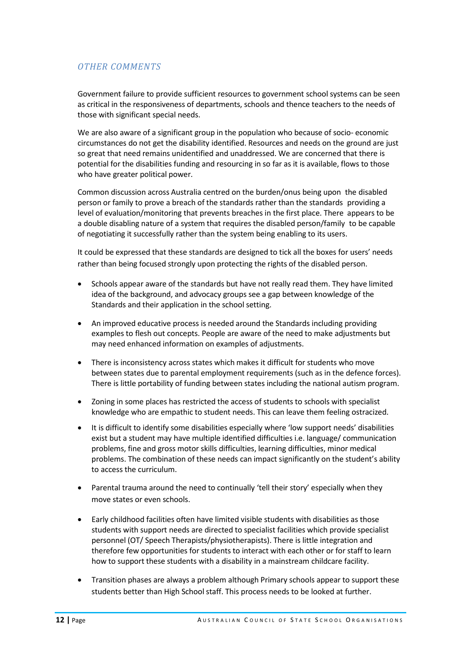# *OTHER COMMENTS*

Government failure to provide sufficient resources to government school systems can be seen as critical in the responsiveness of departments, schools and thence teachers to the needs of those with significant special needs.

We are also aware of a significant group in the population who because of socio- economic circumstances do not get the disability identified. Resources and needs on the ground are just so great that need remains unidentified and unaddressed. We are concerned that there is potential for the disabilities funding and resourcing in so far as it is available, flows to those who have greater political power.

Common discussion across Australia centred on the burden/onus being upon the disabled person or family to prove a breach of the standards rather than the standards providing a level of evaluation/monitoring that prevents breaches in the first place. There appears to be a double disabling nature of a system that requires the disabled person/family to be capable of negotiating it successfully rather than the system being enabling to its users.

It could be expressed that these standards are designed to tick all the boxes for users' needs rather than being focused strongly upon protecting the rights of the disabled person.

- Schools appear aware of the standards but have not really read them. They have limited idea of the background, and advocacy groups see a gap between knowledge of the Standards and their application in the school setting.
- An improved educative process is needed around the Standards including providing examples to flesh out concepts. People are aware of the need to make adjustments but may need enhanced information on examples of adjustments.
- There is inconsistency across states which makes it difficult for students who move between states due to parental employment requirements (such as in the defence forces). There is little portability of funding between states including the national autism program.
- Zoning in some places has restricted the access of students to schools with specialist knowledge who are empathic to student needs. This can leave them feeling ostracized.
- It is difficult to identify some disabilities especially where 'low support needs' disabilities exist but a student may have multiple identified difficulties i.e. language/ communication problems, fine and gross motor skills difficulties, learning difficulties, minor medical problems. The combination of these needs can impact significantly on the student's ability to access the curriculum.
- Parental trauma around the need to continually 'tell their story' especially when they move states or even schools.
- Early childhood facilities often have limited visible students with disabilities as those students with support needs are directed to specialist facilities which provide specialist personnel (OT/ Speech Therapists/physiotherapists). There is little integration and therefore few opportunities for students to interact with each other or for staff to learn how to support these students with a disability in a mainstream childcare facility.
- Transition phases are always a problem although Primary schools appear to support these students better than High School staff. This process needs to be looked at further.